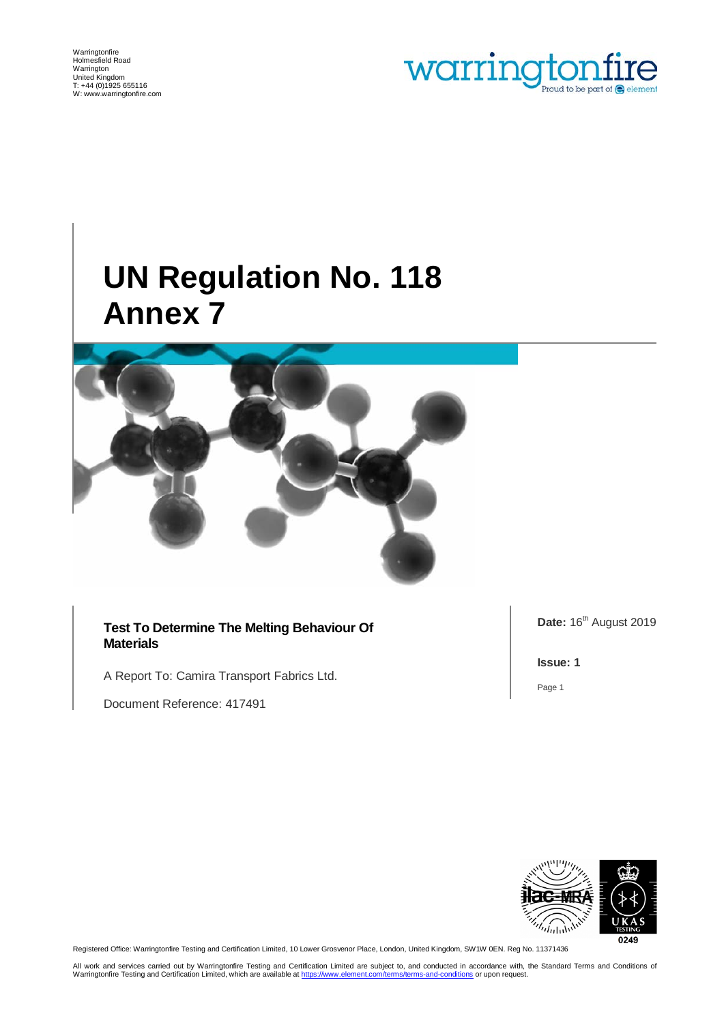Warringtonfire Holmesfield Road Warrington United Kingdom T: +44 (0)1925 655116 W[: www.warringtonfire.com](http://www.warringtonfire.com/)



# **UN Regulation No. 118 Annex 7**



**Test To Determine The Melting Behaviour Of Materials**

A Report To: Camira Transport Fabrics Ltd.

Document Reference: 417491

Date: 16<sup>th</sup> August 2019

**Issue: 1**

Page 1



Registered Office: Warringtonfire Testing and Certification Limited, 10 Lower Grosvenor Place, London, United Kingdom, SW1W 0EN. Reg No. 11371436

All work and services carried out by Warringtonfire Testing and Certification Limited are subject to, and conducted in accordance with, the Standard Terms and Conditions of Warringtonfire Testing and Certification Limited, which are available a[t https://www.element.com/terms/terms-and-conditions](https://www.element.com/terms/terms-and-conditions) or upon request.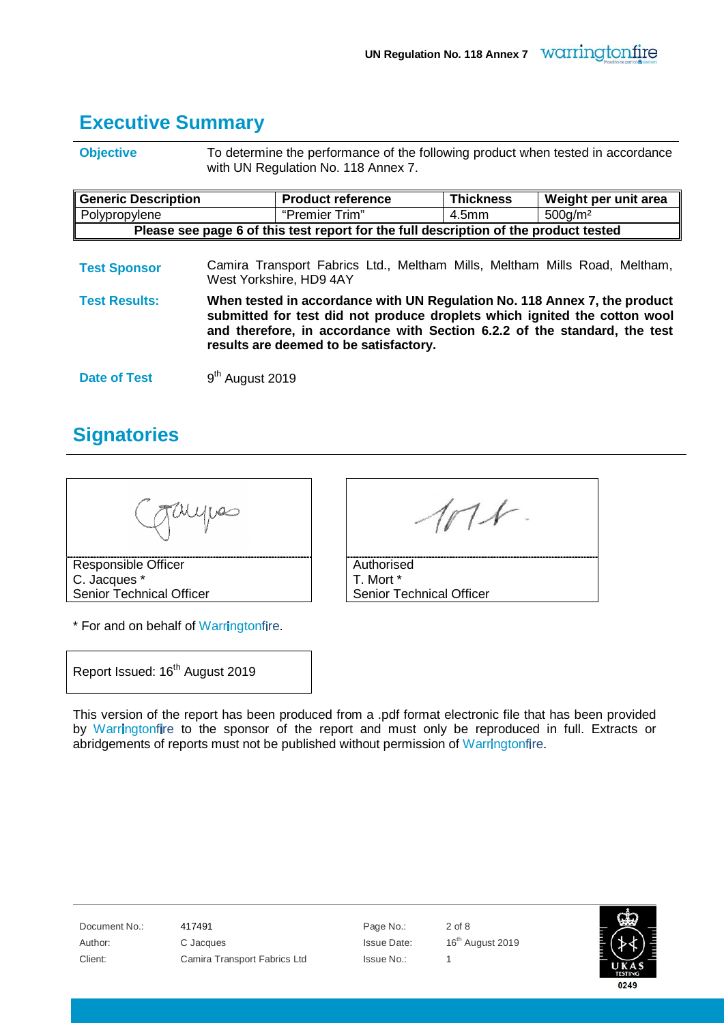#### <span id="page-1-0"></span>**Executive Summary**

**Objective** To determine the performance of the following product when tested in accordance with UN Regulation No. 118 Annex 7.

| <b>Generic Description</b>                                                           | <b>Product reference</b> | <b>Thickness</b>  | Weight per unit area             |  |
|--------------------------------------------------------------------------------------|--------------------------|-------------------|----------------------------------|--|
| Polypropylene                                                                        | "Premier Trim"           | 4.5 <sub>mm</sub> | 500 <sub>q</sub> /m <sup>2</sup> |  |
| Please see page 6 of this test report for the full description of the product tested |                          |                   |                                  |  |

**Test Sponsor** Camira Transport Fabrics Ltd., Meltham Mills, Meltham Mills Road, Meltham, West Yorkshire, HD9 4AY

**Test Results: When tested in accordance with UN Regulation No. 118 Annex 7, the product submitted for test did not produce droplets which ignited the cotton wool and therefore, in accordance with Section 6.2.2 of the standard, the test results are deemed to be satisfactory.**

**Date of Test** 9<sup>th</sup> August 2019

#### <span id="page-1-1"></span>**Signatories**

Responsible Officer C. Jacques \*

Senior Technical Officer

\* For and on behalf of Warringtonfire.

 $n \times$ 

**Authorised** T. Mort \* Senior Technical Officer

Report Issued: 16<sup>th</sup> August 2019

This version of the report has been produced from a .pdf format electronic file that has been provided by Warringtonfire to the sponsor of the report and must only be reproduced in full. Extracts or abridgements of reports must not be published without permission of Warringtonfire.

| Document No.: |
|---------------|
| Author:       |
| Client:       |

And 17491 **Page No.:** 2 of 8 C Jacques **C** Jacques **Issue Date:** 16<sup>th</sup> August 2019 Camira Transport Fabrics Ltd Issue No.: 1

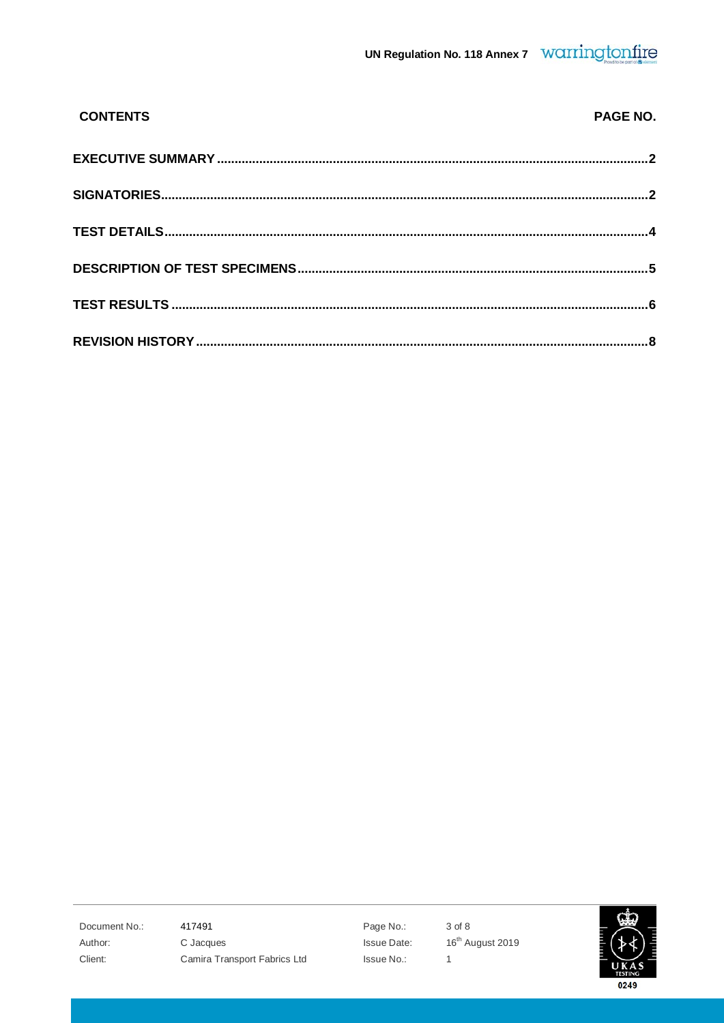| <b>CONTENTS</b> | PAGE NO. |
|-----------------|----------|
|                 |          |
|                 |          |
|                 |          |
|                 |          |
|                 |          |
|                 |          |

Document No.: Author: Client:

417491 C Jacques

Camira Transport Fabrics Ltd

Page No.: Issue Date: Issue No.:

3 of 8 16<sup>th</sup> August 2019  $\overline{1}$ 

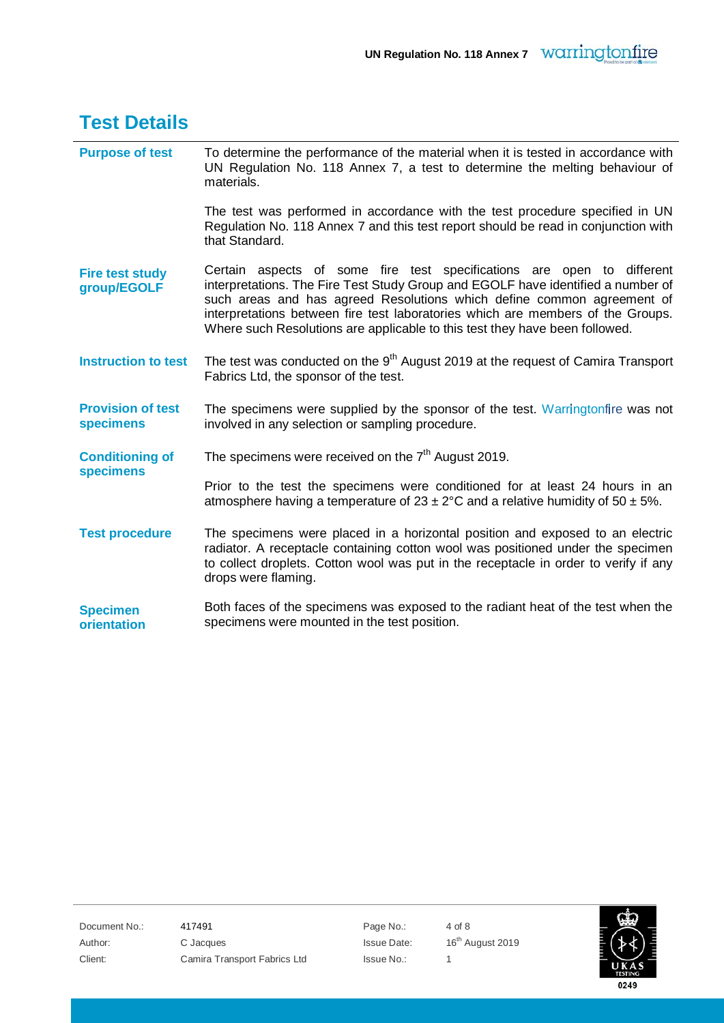<span id="page-3-0"></span>

| <b>Test Details</b>                          |                                                                                                                                                                                                                                                                                                                                                                                                        |
|----------------------------------------------|--------------------------------------------------------------------------------------------------------------------------------------------------------------------------------------------------------------------------------------------------------------------------------------------------------------------------------------------------------------------------------------------------------|
| <b>Purpose of test</b>                       | To determine the performance of the material when it is tested in accordance with<br>UN Regulation No. 118 Annex 7, a test to determine the melting behaviour of<br>materials.                                                                                                                                                                                                                         |
|                                              | The test was performed in accordance with the test procedure specified in UN<br>Regulation No. 118 Annex 7 and this test report should be read in conjunction with<br>that Standard.                                                                                                                                                                                                                   |
| <b>Fire test study</b><br>group/EGOLF        | Certain aspects of some fire test specifications are open to different<br>interpretations. The Fire Test Study Group and EGOLF have identified a number of<br>such areas and has agreed Resolutions which define common agreement of<br>interpretations between fire test laboratories which are members of the Groups.<br>Where such Resolutions are applicable to this test they have been followed. |
| <b>Instruction to test</b>                   | The test was conducted on the 9 <sup>th</sup> August 2019 at the request of Camira Transport<br>Fabrics Ltd, the sponsor of the test.                                                                                                                                                                                                                                                                  |
| <b>Provision of test</b><br><b>specimens</b> | The specimens were supplied by the sponsor of the test. Warringtonfire was not<br>involved in any selection or sampling procedure.                                                                                                                                                                                                                                                                     |
| <b>Conditioning of</b><br><b>specimens</b>   | The specimens were received on the $7th$ August 2019.                                                                                                                                                                                                                                                                                                                                                  |
|                                              | Prior to the test the specimens were conditioned for at least 24 hours in an<br>atmosphere having a temperature of $23 \pm 2^{\circ}$ C and a relative humidity of 50 $\pm$ 5%.                                                                                                                                                                                                                        |
| <b>Test procedure</b>                        | The specimens were placed in a horizontal position and exposed to an electric<br>radiator. A receptacle containing cotton wool was positioned under the specimen<br>to collect droplets. Cotton wool was put in the receptacle in order to verify if any<br>drops were flaming.                                                                                                                        |
| <b>Specimen</b><br>orientation               | Both faces of the specimens was exposed to the radiant heat of the test when the<br>specimens were mounted in the test position.                                                                                                                                                                                                                                                                       |

Document No.: 417491 Page No.: 4 of 8

Author: C Jacques Issue Date: 16th August 2019 Client: Camira Transport Fabrics Ltd Issue No.: 1

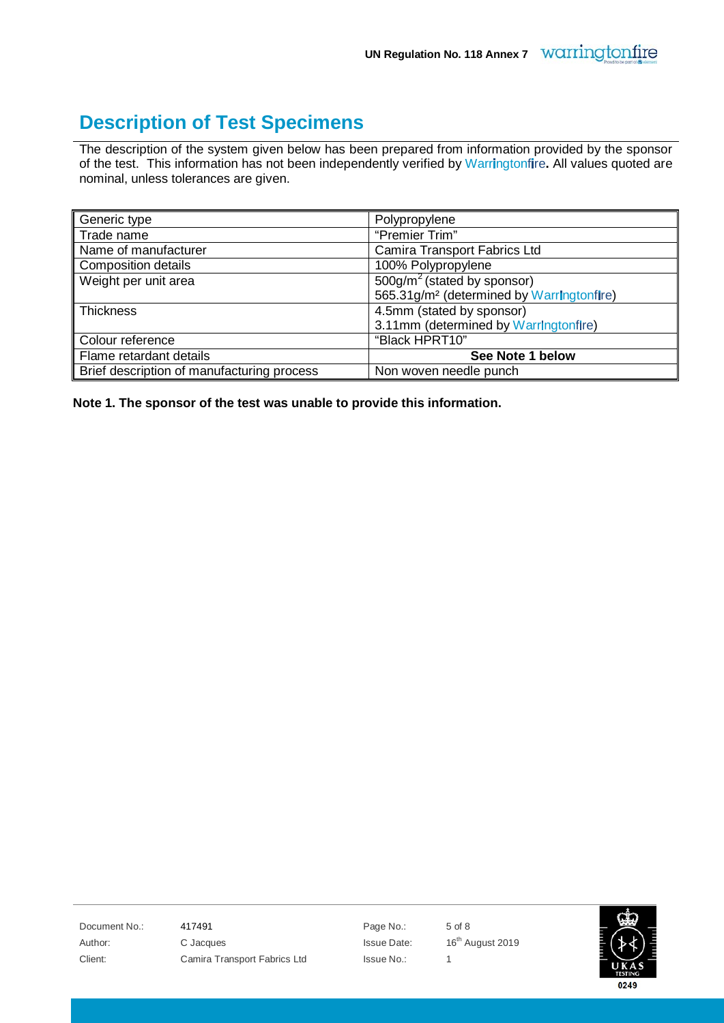### <span id="page-4-0"></span>**Description of Test Specimens**

The description of the system given below has been prepared from information provided by the sponsor of the test. This information has not been independently verified by Warringtonfire. All values quoted are nominal, unless tolerances are given.

| Generic type                               | Polypropylene                                         |
|--------------------------------------------|-------------------------------------------------------|
| Trade name                                 | "Premier Trim"                                        |
| Name of manufacturer                       | Camira Transport Fabrics Ltd                          |
| <b>Composition details</b>                 | 100% Polypropylene                                    |
| Weight per unit area                       | $500$ g/m <sup>2</sup> (stated by sponsor)            |
|                                            | 565.31g/m <sup>2</sup> (determined by Warringtonfire) |
| <b>Thickness</b>                           | 4.5mm (stated by sponsor)                             |
|                                            | 3.11mm (determined by Warringtonfire)                 |
| Colour reference                           | "Black HPRT10"                                        |
| Flame retardant details                    | See Note 1 below                                      |
| Brief description of manufacturing process | Non woven needle punch                                |

**Note 1. The sponsor of the test was unable to provide this information.**

Document No.: 417491 **Page No.:** 5 of 8 Author: C Jacques C C Jacques C C Jacques C Jacques Issue Date: 16<sup>th</sup> August 2019 Client: Camira Transport Fabrics Ltd Issue No.: 1

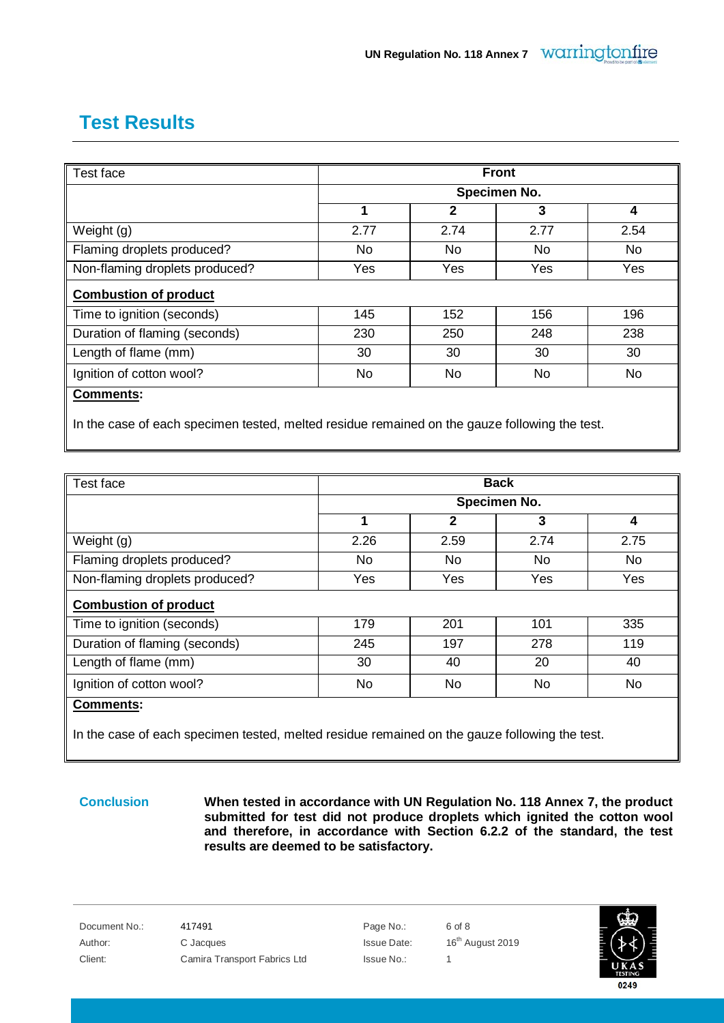## <span id="page-5-0"></span>**Test Results**

| Test face                      |              | <b>Front</b> |           |           |  |
|--------------------------------|--------------|--------------|-----------|-----------|--|
|                                | Specimen No. |              |           |           |  |
|                                | 1            | $\mathbf{2}$ | 3         | 4         |  |
| Weight $(g)$                   | 2.77         | 2.74         | 2.77      | 2.54      |  |
| Flaming droplets produced?     | No.          | No           | No        | No        |  |
| Non-flaming droplets produced? | Yes          | <b>Yes</b>   | Yes       | Yes       |  |
| <b>Combustion of product</b>   |              |              |           |           |  |
| Time to ignition (seconds)     | 145          | 152          | 156       | 196       |  |
| Duration of flaming (seconds)  | 230          | 250          | 248       | 238       |  |
| Length of flame (mm)           | 30           | 30           | 30        | 30        |  |
| Ignition of cotton wool?       | No.          | No           | <b>No</b> | <b>No</b> |  |
| <b>Comments:</b>               |              |              |           |           |  |
|                                |              |              |           |           |  |

In the case of each specimen tested, melted residue remained on the gauze following the test.

| Test face                      | <b>Back</b><br>Specimen No. |      |      |           |
|--------------------------------|-----------------------------|------|------|-----------|
|                                |                             |      |      |           |
|                                | 1                           | 2    | 3    | 4         |
| Weight (g)                     | 2.26                        | 2.59 | 2.74 | 2.75      |
| Flaming droplets produced?     | <b>No</b>                   | No   | No   | <b>No</b> |
| Non-flaming droplets produced? | Yes                         | Yes  | Yes  | Yes       |
| <b>Combustion of product</b>   |                             |      |      |           |
| Time to ignition (seconds)     | 179                         | 201  | 101  | 335       |
|                                |                             |      |      |           |
| Duration of flaming (seconds)  | 245                         | 197  | 278  | 119       |
| Length of flame (mm)           | 30                          | 40   | 20   | 40        |

In the case of each specimen tested, melted residue remained on the gauze following the test.

**Conclusion When tested in accordance with UN Regulation No. 118 Annex 7, the product submitted for test did not produce droplets which ignited the cotton wool and therefore, in accordance with Section 6.2.2 of the standard, the test results are deemed to be satisfactory.**

Document No.: 417491 **Page No.:** 6 of 8 Author: C Jacques Issue Date: 16th August 2019 Client: Camira Transport Fabrics Ltd Issue No.: 1

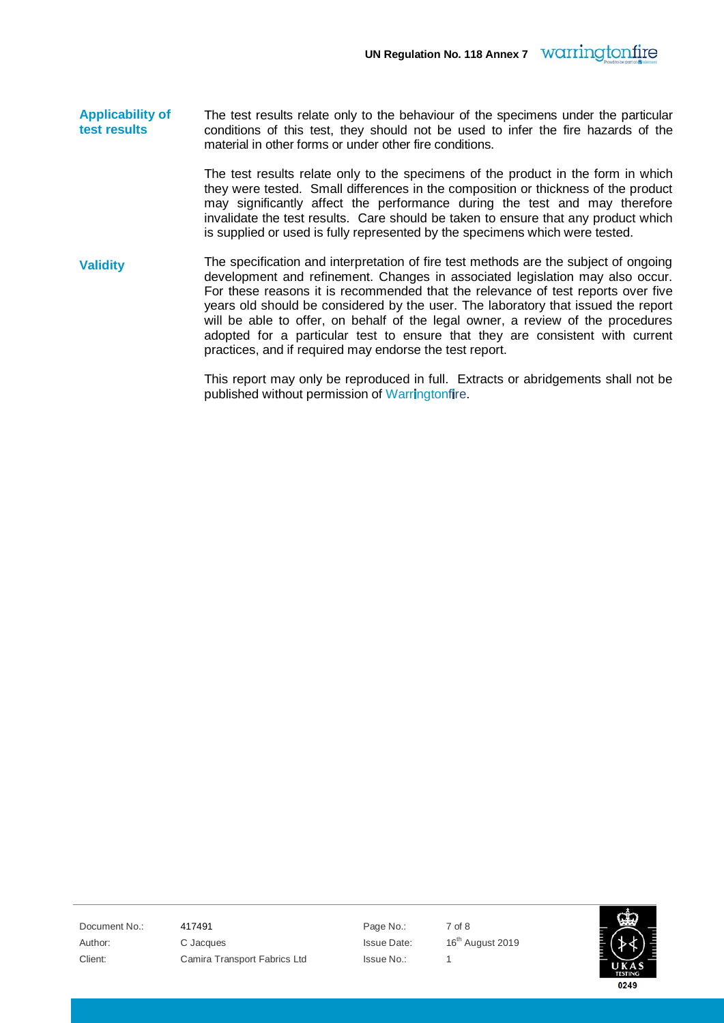**Applicability of test results** The test results relate only to the behaviour of the specimens under the particular conditions of this test, they should not be used to infer the fire hazards of the material in other forms or under other fire conditions.

> The test results relate only to the specimens of the product in the form in which they were tested. Small differences in the composition or thickness of the product may significantly affect the performance during the test and may therefore invalidate the test results. Care should be taken to ensure that any product which is supplied or used is fully represented by the specimens which were tested.

**Validity** The specification and interpretation of fire test methods are the subject of ongoing development and refinement. Changes in associated legislation may also occur. For these reasons it is recommended that the relevance of test reports over five years old should be considered by the user. The laboratory that issued the report will be able to offer, on behalf of the legal owner, a review of the procedures adopted for a particular test to ensure that they are consistent with current practices, and if required may endorse the test report.

> <span id="page-6-0"></span>This report may only be reproduced in full. Extracts or abridgements shall not be published without permission of Warringtonfire.

Document No.: 417491 Page No.: 7 of 8 Author: C Jacques Issue Date: 16th August 2019 Client: Camira Transport Fabrics Ltd Issue No.: 1